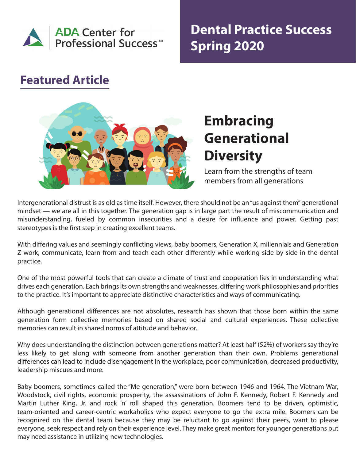

## **Dental Practice Success Spring 2020**

## **Featured Article**



## **Embracing Generational Diversity**

Learn from the strengths of team members from all generations

Intergenerational distrust is as old as time itself. However, there should not be an "us against them" generational mindset — we are all in this together. The generation gap is in large part the result of miscommunication and misunderstanding, fueled by common insecurities and a desire for influence and power. Getting past stereotypes is the first step in creating excellent teams.

With differing values and seemingly conflicting views, baby boomers, Generation X, millennials and Generation Z work, communicate, learn from and teach each other differently while working side by side in the dental practice.

One of the most powerful tools that can create a climate of trust and cooperation lies in understanding what drives each generation. Each brings its own strengths and weaknesses, differing work philosophies and priorities to the practice. It's important to appreciate distinctive characteristics and ways of communicating.

Although generational differences are not absolutes, research has shown that those born within the same generation form collective memories based on shared social and cultural experiences. These collective memories can result in shared norms of attitude and behavior.

Why does understanding the distinction between generations matter? At least half (52%) of workers say they're less likely to get along with someone from another generation than their own. Problems generational differences can lead to include disengagement in the workplace, poor communication, decreased productivity, leadership miscues and more.

Baby boomers, sometimes called the "Me generation," were born between 1946 and 1964. The Vietnam War, Woodstock, civil rights, economic prosperity, the assassinations of John F. Kennedy, Robert F. Kennedy and Martin Luther King, Jr. and rock 'n' roll shaped this generation. Boomers tend to be driven, optimistic, team-oriented and career-centric workaholics who expect everyone to go the extra mile. Boomers can be recognized on the dental team because they may be reluctant to go against their peers, want to please everyone, seek respect and rely on their experience level. They make great mentors for younger generations but may need assistance in utilizing new technologies.